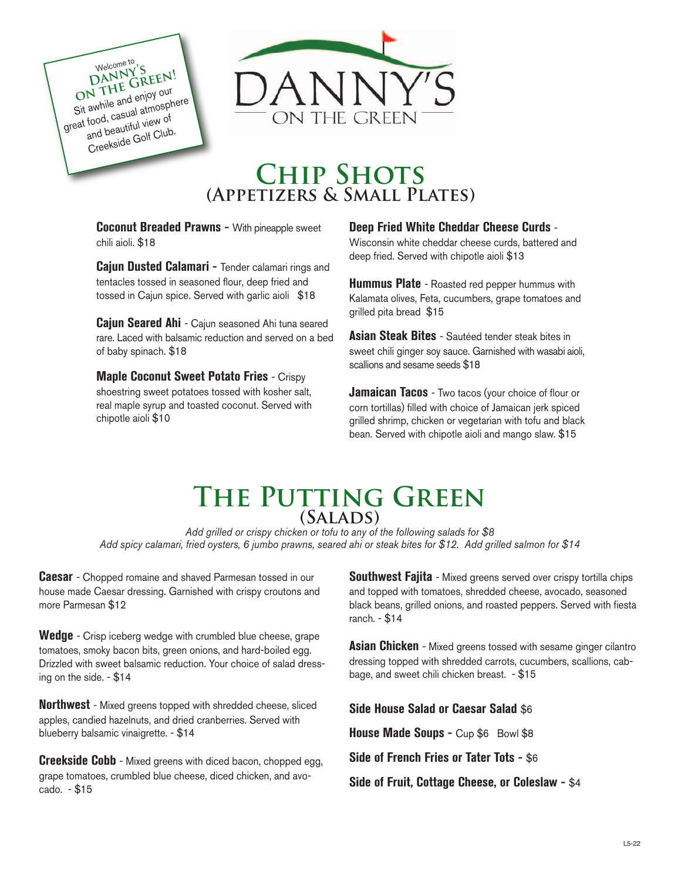

# **Chip Shots (Appetizers & Small Plates)**

**Coconut Breaded Prawns -** With pineapple sweet chili aioli. \$18

Welcome to 'S ON THE GREEN! Sit awhile and enjoy our great food, casual atmosphere and beautiful view of Creekside Golf Club.

> **Cajun Dusted Calamari -** Tender calamari rings and tentacles tossed in seasoned flour, deep fried and tossed in Cajun spice. Served with garlic aioli \$18

**Cajun Seared Ahi** - Cajun seasoned Ahi tuna seared rare. Laced with balsamic reduction and served on a bed of baby spinach. \$18

**Maple Coconut Sweet Potato Fries** - Crispy shoestring sweet potatoes tossed with kosher salt, real maple syrup and toasted coconut. Served with chipotle aioli \$10

#### **Deep Fried White Cheddar Cheese Curds** -

Wisconsin white cheddar cheese curds, battered and deep fried. Served with chipotle aioli \$13

**Hummus Plate** - Roasted red pepper hummus with Kalamata olives, Feta, cucumbers, grape tomatoes and grilled pita bread \$15

**Asian Steak Bites** - Sautéed tender steak bites in sweet chili ginger soy sauce. Garnished with wasabi aioli, scallions and sesame seeds \$18

**Jamaican Tacos** - Two tacos (your choice of flour or corn tortillas) filled with choice of Jamaican jerk spiced grilled shrimp, chicken or vegetarian with tofu and black bean. Served with chipotle aioli and mango slaw. \$15

## **The Putting Green (Salads)**

*Add grilled or crispy chicken or tofu to any of the following salads for \$8 Add spicy calamari, fried oysters, 6 jumbo prawns, seared ahi or steak bites for \$12. Add grilled salmon for \$14*

**Caesar** - Chopped romaine and shaved Parmesan tossed in our house made Caesar dressing. Garnished with crispy croutons and more Parmesan \$12

**Wedge** - Crisp iceberg wedge with crumbled blue cheese, grape tomatoes, smoky bacon bits, green onions, and hard-boiled egg. Drizzled with sweet balsamic reduction. Your choice of salad dressing on the side. - \$14

**Northwest** - Mixed greens topped with shredded cheese, sliced apples, candied hazelnuts, and dried cranberries. Served with blueberry balsamic vinaigrette. - \$14

**Creekside Cobb** - Mixed greens with diced bacon, chopped egg, grape tomatoes, crumbled blue cheese, diced chicken, and avocado. - \$15

**Southwest Fajita** - Mixed greens served over crispy tortilla chips and topped with tomatoes, shredded cheese, avocado, seasoned black beans, grilled onions, and roasted peppers. Served with fiesta ranch. - \$14

**Asian Chicken** - Mixed greens tossed with sesame ginger cilantro dressing topped with shredded carrots, cucumbers, scallions, cabbage, and sweet chili chicken breast. - \$15

**Side House Salad or Caesar Salad** \$6

**House Made Soups -** Cup \$6 Bowl \$8

**Side of French Fries or Tater Tots -** \$6

**Side of Fruit, Cottage Cheese, or Coleslaw -** \$4